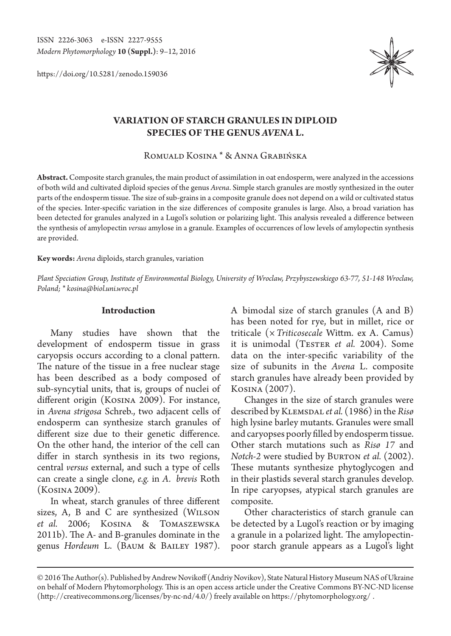https://doi.org/10.5281/zenodo.159036



## **VARIATION OF STARCH GRANULES IN DIPLOID SPECIES OF THE GENUS** *AVENA* **L.**

Romuald Kosina \* & Anna Grabińska

**Abstract.** Composite starch granules, the main product of assimilation in oat endosperm, were analyzed in the accessions of both wild and cultivated diploid species of the genus *Avena*. Simple starch granules are mostly synthesized in the outer parts of the endosperm tissue. The size of sub-grains in a composite granule does not depend on a wild or cultivated status of the species. Inter-specific variation in the size differences of composite granules is large. Also, a broad variation has been detected for granules analyzed in a Lugol's solution or polarizing light. This analysis revealed a difference between the synthesis of amylopectin *versus* amylose in a granule. Examples of occurrences of low levels of amylopectin synthesis are provided.

**Key words:** *Avena* diploids, starch granules, variation

*Plant Speciation Group, Institute of Environmental Biology, University of Wroclaw, Przybyszewskiego 63-77, 51-148 Wroclaw, Poland; \* kosina@biol.uni.wroc.pl*

### **Introduction**

Many studies have shown that the development of endosperm tissue in grass caryopsis occurs according to a clonal pattern. The nature of the tissue in a free nuclear stage has been described as a body composed of sub-syncytial units, that is, groups of nuclei of different origin (Kosina 2009). For instance, in *Avena strigosa* Schreb., two adjacent cells of endosperm can synthesize starch granules of different size due to their genetic difference. On the other hand, the interior of the cell can differ in starch synthesis in its two regions, central *versus* external, and such a type of cells can create a single clone, *e.g.* in *A. brevis* Roth (Kosina 2009).

In wheat, starch granules of three different sizes, A, B and C are synthesized (Wilson *et al.* 2006; Kosina & Tomaszewska 2011b). The A- and B-granules dominate in the genus *Hordeum* L. (Baum & Bailey 1987). A bimodal size of starch granules (A and B) has been noted for rye, but in millet, rice or triticale (×*Triticosecale* Wittm. ex A. Camus) it is unimodal (Tester *et al.* 2004). Some data on the inter-specific variability of the size of subunits in the *Avena* L. composite starch granules have already been provided by Kosina (2007).

Changes in the size of starch granules were described by Klemsdal *et al.* (1986) in the *Risø* high lysine barley mutants. Granules were small and caryopses poorly filled by endosperm tissue. Other starch mutations such as *Risø 17* and *Notch-2* were studied by Burton *et al.* (2002). These mutants synthesize phytoglycogen and in their plastids several starch granules develop. In ripe caryopses, atypical starch granules are composite.

Other characteristics of starch granule can be detected by a Lugol's reaction or by imaging a granule in a polarized light. The amylopectinpoor starch granule appears as a Lugol's light

<sup>© 2016</sup> The Author(s). Published by Andrew Novikoff (Andriy Novikov), State Natural History Museum NAS of Ukraine on behalf of Modern Phytomorphology. This is an open access article under the Creative Commons BY-NC-ND license (http://creativecommons.org/licenses/by-nc-nd/4.0/) freely available on https://phytomorphology.org/ .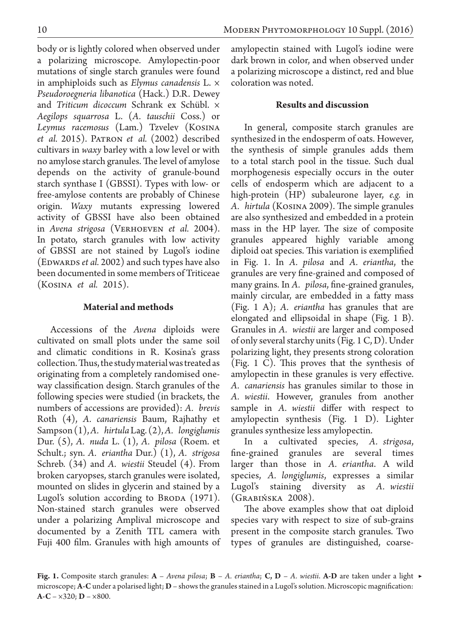body or is lightly colored when observed under a polarizing microscope. Amylopectin-poor mutations of single starch granules were found in amphiploids such as *Elymus canadensis* L. × *Pseudoroegneria libanotica* (Hack.) D.R. Dewey and *Triticum dicoccum* Schrank ex Schübl. × *Aegilops squarrosa* L. (*A. tauschii* Coss.) or *Leymus racemosus* (Lam.) Tzvelev (Kosina *et al.* 2015). Patron *et al.* (2002) described cultivars in *waxy* barley with a low level or with no amylose starch granules. The level of amylose depends on the activity of granule-bound starch synthase I (GBSSI). Types with low- or free-amylose contents are probably of Chinese origin. *Waxy* mutants expressing lowered activity of GBSSI have also been obtained in *Avena strigosa* (Verhoeven *et al.* 2004). In potato, starch granules with low activity of GBSSI are not stained by Lugol's iodine (EDWARDS *et al.* 2002) and such types have also been documented in some members of Triticeae (Kosina *et al.* 2015).

# **Material and methods**

Accessions of the *Avena* diploids were cultivated on small plots under the same soil and climatic conditions in R. Kosina's grass collection. Thus, the study material was treated as originating from a completely randomised oneway classification design. Starch granules of the following species were studied (in brackets, the numbers of accessions are provided): *A. brevis*  Roth (4), *A. canariensis* Baum, Rajhathy et Sampson (1), *A. hirtula* Lag. (2), *A. longiglumis*  Dur. (5), *A. nuda* L. (1), *A. pilosa* (Roem. et Schult.; syn. *A. eriantha* Dur.) (1), *A. strigosa*  Schreb. (34) and *A. wiestii* Steudel (4). From broken caryopses, starch granules were isolated, mounted on slides in glycerin and stained by a Lugol's solution according to BRODA  $(1971)$ . Non-stained starch granules were observed under a polarizing Amplival microscope and documented by a Zenith TTL camera with Fuji 400 film. Granules with high amounts of amylopectin stained with Lugol's iodine were dark brown in color, and when observed under a polarizing microscope a distinct, red and blue coloration was noted.

## **Results and discussion**

In general, composite starch granules are synthesized in the endosperm of oats. However, the synthesis of simple granules adds them to a total starch pool in the tissue. Such dual morphogenesis especially occurs in the outer cells of endosperm which are adjacent to a high-protein (HP) subaleurone layer, *e.g.* in *A. hirtula* (Kosina 2009). The simple granules are also synthesized and embedded in a protein mass in the HP layer. The size of composite granules appeared highly variable among diploid oat species. This variation is exemplified in Fig. 1. In *A. pilosa* and *A. eriantha*, the granules are very fine-grained and composed of many grains. In *A. pilosa*, fine-grained granules, mainly circular, are embedded in a fatty mass (Fig. 1 A); *A. eriantha* has granules that are elongated and ellipsoidal in shape (Fig. 1 B). Granules in *A. wiestii* are larger and composed of only several starchy units (Fig. 1 C, D). Under polarizing light, they presents strong coloration (Fig. 1 C). This proves that the synthesis of amylopectin in these granules is very effective. *A. canariensis* has granules similar to those in *A. wiestii*. However, granules from another sample in *A. wiestii* differ with respect to amylopectin synthesis (Fig. 1 D). Lighter granules synthesize less amylopectin.

In a cultivated species, *A. strigosa*, fine-grained granules are several times larger than those in *A. eriantha*. A wild species, *A. longiglumis*, expresses a similar Lugol's staining diversity as *A. wiestii* (Grabińska 2008).

The above examples show that oat diploid species vary with respect to size of sub-grains present in the composite starch granules. Two types of granules are distinguished, coarse-

**Fig. 1.** Composite starch granules: **A** – *Avena pilosa*; **B** – *A. eriantha*; **C, D** – *A. wiestii*. **A-D** are taken under a light ▶microscope; **A-C** under a polarised light; **D** – shows the granules stained in a Lugol's solution. Microscopic magnification:  $A-C - \times 320$ ;  $D - \times 800$ .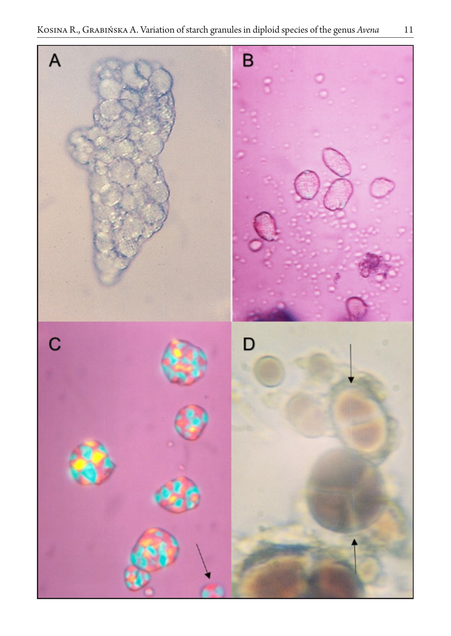